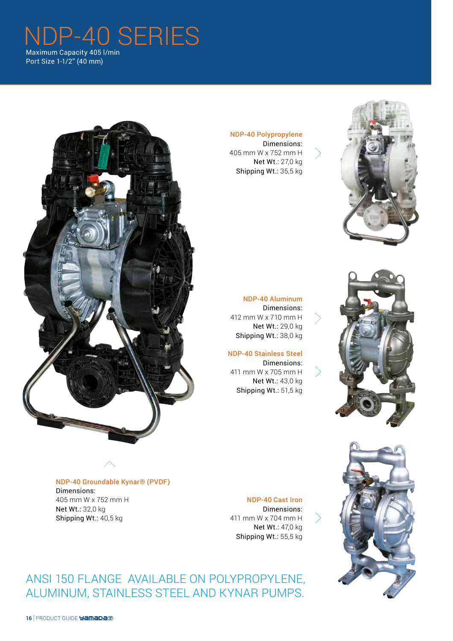# NDP-40 SERIES Maximum Capacity 405 l/min

Port Size 1-1/2" (40 mm)

### NDP-40 Polypropylene

Dimensions: 405 mm W x 752 mm H Net Wt.: 27,0 kg Shipping Wt.: 35,5 kg





NDP-40 Aluminum Dimensions: 412 mm W x 710 mm H Net Wt.: 29,0 kg Shipping Wt.: 38,0 kg

#### NDP-40 Stainless Steel Dimensions: 411 mm W x 705 mm H Net Wt.: 43,0 kg Shipping Wt.: 51,5 kg

NDP-40 Groundable Kynar® (PVDF) Dimensions: 405 mm W x 752 mm H Net Wt.: 32,0 kg Shipping Wt.: 40,5 kg

#### NDP-40 Cast Iron

Dimensions: 411 mm W x 704 mm H Net Wt.: 47,0 kg Shipping Wt.: 55,5 kg

ANSI 150 FLANGE AVAILABLE ON POLYPROPYLENE, ALUMINUM, STAINLESS STEEL AND KYNAR PUMPS.



#### 16 | PRODUCT GUIDE **Yamada**